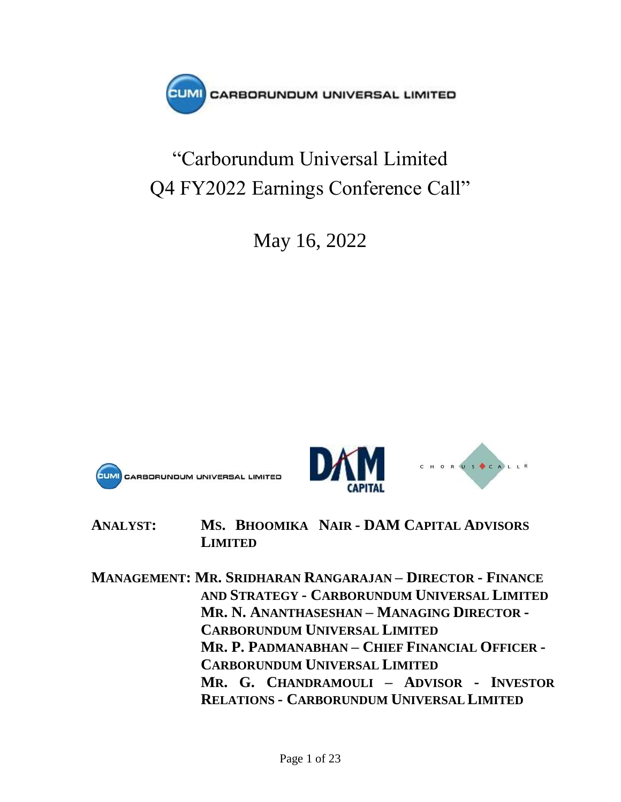

# "Carborundum Universal Limited Q4 FY2022 Earnings Conference Call"

May 16, 2022







**ANALYST: MS. BHOOMIKA NAIR - DAM CAPITAL ADVISORS LIMITED**

**MANAGEMENT: MR. SRIDHARAN RANGARAJAN – DIRECTOR - FINANCE AND STRATEGY - CARBORUNDUM UNIVERSAL LIMITED MR. N. ANANTHASESHAN – MANAGING DIRECTOR - CARBORUNDUM UNIVERSAL LIMITED MR. P. PADMANABHAN – CHIEF FINANCIAL OFFICER - CARBORUNDUM UNIVERSAL LIMITED MR. G. CHANDRAMOULI – ADVISOR - INVESTOR RELATIONS - CARBORUNDUM UNIVERSAL LIMITED**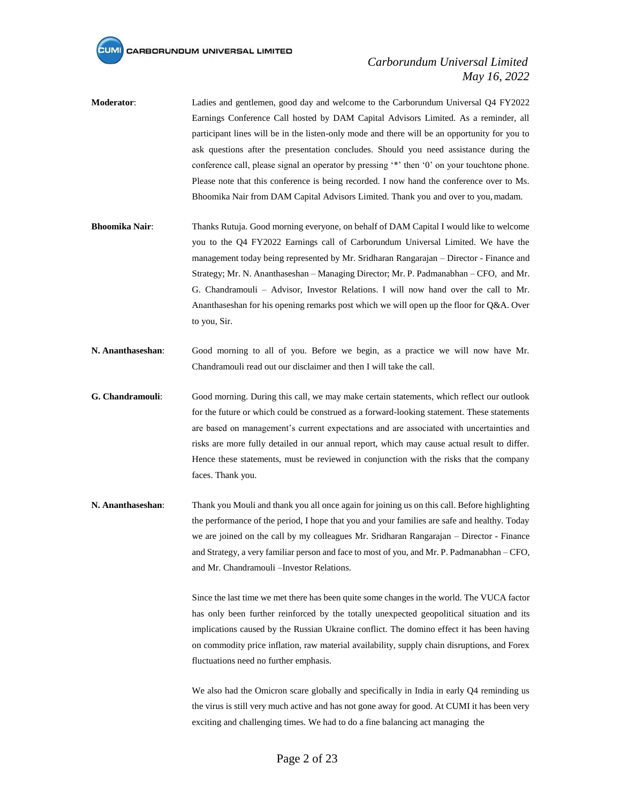#### *Carborundum Universal Limited May 16, 2022*

- **Moderator**: Ladies and gentlemen, good day and welcome to the Carborundum Universal Q4 FY2022 Earnings Conference Call hosted by DAM Capital Advisors Limited. As a reminder, all participant lines will be in the listen-only mode and there will be an opportunity for you to ask questions after the presentation concludes. Should you need assistance during the conference call, please signal an operator by pressing '\*' then '0' on your touchtone phone. Please note that this conference is being recorded. I now hand the conference over to Ms. Bhoomika Nair from DAM Capital Advisors Limited. Thank you and over to you,madam.
- **Bhoomika Nair**: Thanks Rutuja. Good morning everyone, on behalf of DAM Capital I would like to welcome you to the Q4 FY2022 Earnings call of Carborundum Universal Limited. We have the management today being represented by Mr. Sridharan Rangarajan – Director - Finance and Strategy; Mr. N. Ananthaseshan – Managing Director; Mr. P. Padmanabhan – CFO, and Mr. G. Chandramouli – Advisor, Investor Relations. I will now hand over the call to Mr. Ananthaseshan for his opening remarks post which we will open up the floor for Q&A. Over to you, Sir.
- **N. Ananthaseshan**: Good morning to all of you. Before we begin, as a practice we will now have Mr. Chandramouli read out our disclaimer and then I will take the call.
- **G. Chandramouli**: Good morning. During this call, we may make certain statements, which reflect our outlook for the future or which could be construed as a forward-looking statement. These statements are based on management's current expectations and are associated with uncertainties and risks are more fully detailed in our annual report, which may cause actual result to differ. Hence these statements, must be reviewed in conjunction with the risks that the company faces. Thank you.
- **N. Ananthaseshan**: Thank you Mouli and thank you all once again for joining us on this call. Before highlighting the performance of the period, I hope that you and your families are safe and healthy. Today we are joined on the call by my colleagues Mr. Sridharan Rangarajan – Director - Finance and Strategy, a very familiar person and face to most of you, and Mr. P. Padmanabhan – CFO, and Mr. Chandramouli –Investor Relations.

Since the last time we met there has been quite some changes in the world. The VUCA factor has only been further reinforced by the totally unexpected geopolitical situation and its implications caused by the Russian Ukraine conflict. The domino effect it has been having on commodity price inflation, raw material availability, supply chain disruptions, and Forex fluctuations need no further emphasis.

We also had the Omicron scare globally and specifically in India in early Q4 reminding us the virus is still very much active and has not gone away for good. At CUMI it has been very exciting and challenging times. We had to do a fine balancing act managing the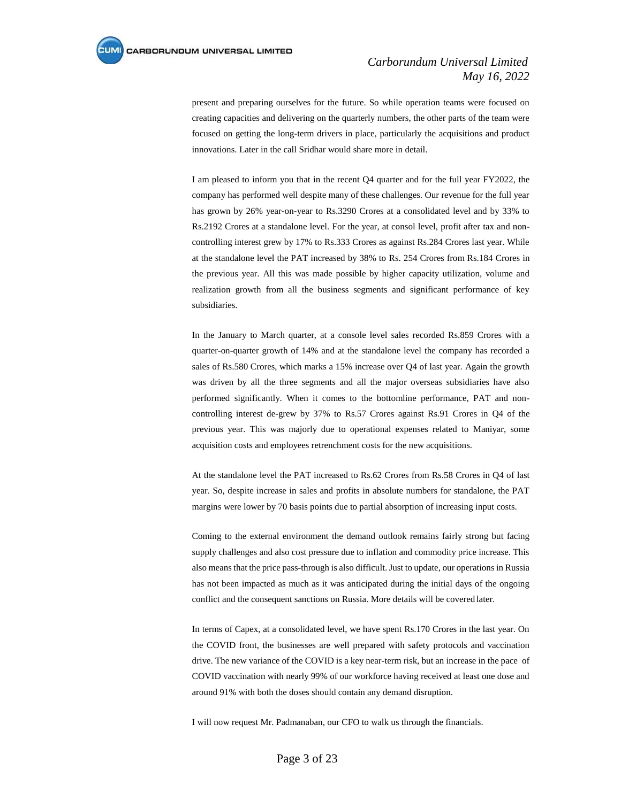present and preparing ourselves for the future. So while operation teams were focused on creating capacities and delivering on the quarterly numbers, the other parts of the team were focused on getting the long-term drivers in place, particularly the acquisitions and product innovations. Later in the call Sridhar would share more in detail.

I am pleased to inform you that in the recent Q4 quarter and for the full year FY2022, the company has performed well despite many of these challenges. Our revenue for the full year has grown by 26% year-on-year to Rs.3290 Crores at a consolidated level and by 33% to Rs.2192 Crores at a standalone level. For the year, at consol level, profit after tax and noncontrolling interest grew by 17% to Rs.333 Crores as against Rs.284 Crores last year. While at the standalone level the PAT increased by 38% to Rs. 254 Crores from Rs.184 Crores in the previous year. All this was made possible by higher capacity utilization, volume and realization growth from all the business segments and significant performance of key subsidiaries.

In the January to March quarter, at a console level sales recorded Rs.859 Crores with a quarter-on-quarter growth of 14% and at the standalone level the company has recorded a sales of Rs.580 Crores, which marks a 15% increase over Q4 of last year. Again the growth was driven by all the three segments and all the major overseas subsidiaries have also performed significantly. When it comes to the bottomline performance, PAT and noncontrolling interest de-grew by 37% to Rs.57 Crores against Rs.91 Crores in Q4 of the previous year. This was majorly due to operational expenses related to Maniyar, some acquisition costs and employees retrenchment costs for the new acquisitions.

At the standalone level the PAT increased to Rs.62 Crores from Rs.58 Crores in Q4 of last year. So, despite increase in sales and profits in absolute numbers for standalone, the PAT margins were lower by 70 basis points due to partial absorption of increasing input costs.

Coming to the external environment the demand outlook remains fairly strong but facing supply challenges and also cost pressure due to inflation and commodity price increase. This also means that the price pass-through is also difficult. Just to update, our operations in Russia has not been impacted as much as it was anticipated during the initial days of the ongoing conflict and the consequent sanctions on Russia. More details will be covered later.

In terms of Capex, at a consolidated level, we have spent Rs.170 Crores in the last year. On the COVID front, the businesses are well prepared with safety protocols and vaccination drive. The new variance of the COVID is a key near-term risk, but an increase in the pace of COVID vaccination with nearly 99% of our workforce having received at least one dose and around 91% with both the doses should contain any demand disruption.

I will now request Mr. Padmanaban, our CFO to walk us through the financials.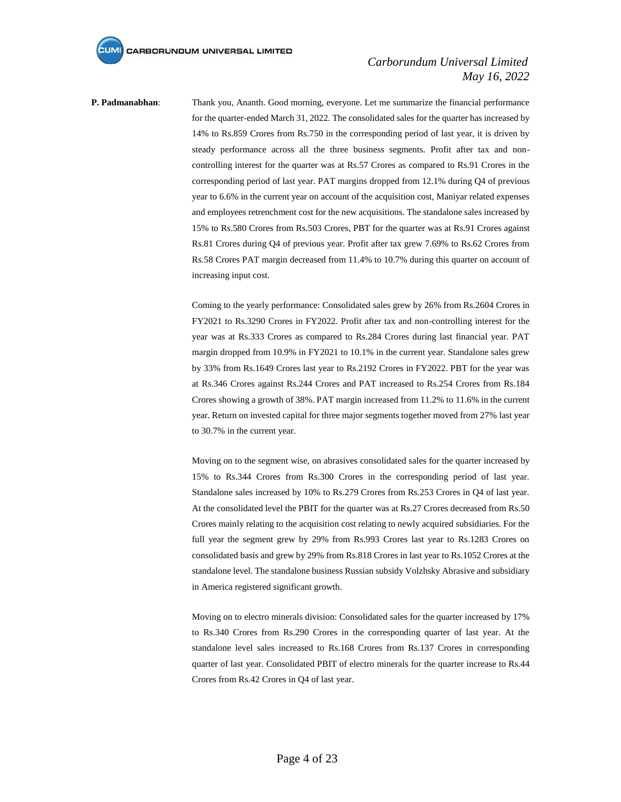**P. Padmanabhan**: Thank you, Ananth. Good morning, everyone. Let me summarize the financial performance for the quarter-ended March 31, 2022. The consolidated sales for the quarter has increased by 14% to Rs.859 Crores from Rs.750 in the corresponding period of last year, it is driven by steady performance across all the three business segments. Profit after tax and noncontrolling interest for the quarter was at Rs.57 Crores as compared to Rs.91 Crores in the corresponding period of last year. PAT margins dropped from 12.1% during Q4 of previous year to 6.6% in the current year on account of the acquisition cost, Maniyar related expenses and employees retrenchment cost for the new acquisitions. The standalone sales increased by 15% to Rs.580 Crores from Rs.503 Crores, PBT for the quarter was at Rs.91 Crores against Rs.81 Crores during Q4 of previous year. Profit after tax grew 7.69% to Rs.62 Crores from Rs.58 Crores PAT margin decreased from 11.4% to 10.7% during this quarter on account of increasing input cost.

> Coming to the yearly performance: Consolidated sales grew by 26% from Rs.2604 Crores in FY2021 to Rs.3290 Crores in FY2022. Profit after tax and non-controlling interest for the year was at Rs.333 Crores as compared to Rs.284 Crores during last financial year. PAT margin dropped from 10.9% in FY2021 to 10.1% in the current year. Standalone sales grew by 33% from Rs.1649 Crores last year to Rs.2192 Crores in FY2022. PBT for the year was at Rs.346 Crores against Rs.244 Crores and PAT increased to Rs.254 Crores from Rs.184 Crores showing a growth of 38%. PAT margin increased from 11.2% to 11.6% in the current year. Return on invested capital for three major segments together moved from 27% last year to 30.7% in the current year.

> Moving on to the segment wise, on abrasives consolidated sales for the quarter increased by 15% to Rs.344 Crores from Rs.300 Crores in the corresponding period of last year. Standalone sales increased by 10% to Rs.279 Crores from Rs.253 Crores in Q4 of last year. At the consolidated level the PBIT for the quarter was at Rs.27 Crores decreased from Rs.50 Crores mainly relating to the acquisition cost relating to newly acquired subsidiaries. For the full year the segment grew by 29% from Rs.993 Crores last year to Rs.1283 Crores on consolidated basis and grew by 29% from Rs.818 Crores in last year to Rs.1052 Crores at the standalone level. The standalone business Russian subsidy Volzhsky Abrasive and subsidiary in America registered significant growth.

> Moving on to electro minerals division: Consolidated sales for the quarter increased by 17% to Rs.340 Crores from Rs.290 Crores in the corresponding quarter of last year. At the standalone level sales increased to Rs.168 Crores from Rs.137 Crores in corresponding quarter of last year. Consolidated PBIT of electro minerals for the quarter increase to Rs.44 Crores from Rs.42 Crores in Q4 of last year.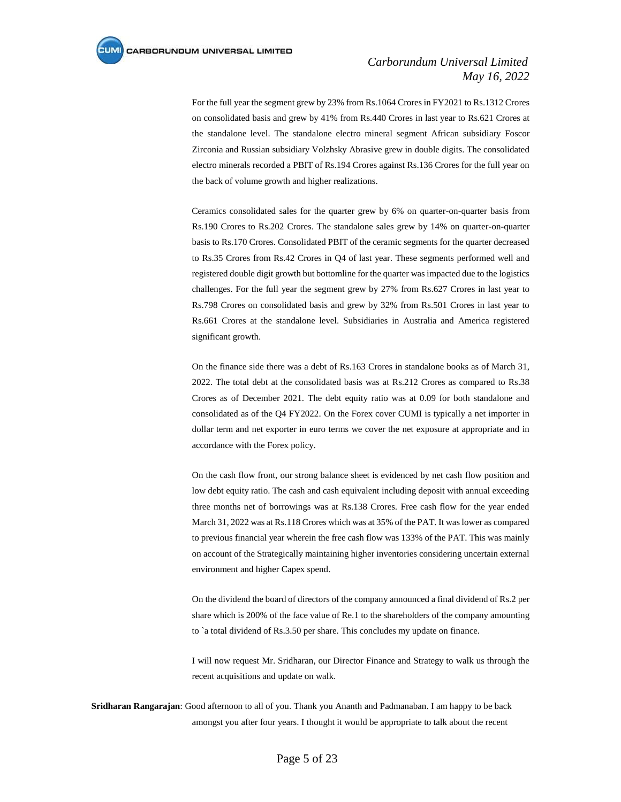For the full year the segment grew by 23% from Rs.1064 Crores in FY2021 to Rs.1312 Crores on consolidated basis and grew by 41% from Rs.440 Crores in last year to Rs.621 Crores at the standalone level. The standalone electro mineral segment African subsidiary Foscor Zirconia and Russian subsidiary Volzhsky Abrasive grew in double digits. The consolidated electro minerals recorded a PBIT of Rs.194 Crores against Rs.136 Crores for the full year on the back of volume growth and higher realizations.

Ceramics consolidated sales for the quarter grew by 6% on quarter-on-quarter basis from Rs.190 Crores to Rs.202 Crores. The standalone sales grew by 14% on quarter-on-quarter basis to Rs.170 Crores. Consolidated PBIT of the ceramic segments for the quarter decreased to Rs.35 Crores from Rs.42 Crores in Q4 of last year. These segments performed well and registered double digit growth but bottomline for the quarter was impacted due to the logistics challenges. For the full year the segment grew by 27% from Rs.627 Crores in last year to Rs.798 Crores on consolidated basis and grew by 32% from Rs.501 Crores in last year to Rs.661 Crores at the standalone level. Subsidiaries in Australia and America registered significant growth.

On the finance side there was a debt of Rs.163 Crores in standalone books as of March 31, 2022. The total debt at the consolidated basis was at Rs.212 Crores as compared to Rs.38 Crores as of December 2021. The debt equity ratio was at 0.09 for both standalone and consolidated as of the Q4 FY2022. On the Forex cover CUMI is typically a net importer in dollar term and net exporter in euro terms we cover the net exposure at appropriate and in accordance with the Forex policy.

On the cash flow front, our strong balance sheet is evidenced by net cash flow position and low debt equity ratio. The cash and cash equivalent including deposit with annual exceeding three months net of borrowings was at Rs.138 Crores. Free cash flow for the year ended March 31, 2022 was at Rs.118 Crores which was at 35% of the PAT. It was lower as compared to previous financial year wherein the free cash flow was 133% of the PAT. This was mainly on account of the Strategically maintaining higher inventories considering uncertain external environment and higher Capex spend.

On the dividend the board of directors of the company announced a final dividend of Rs.2 per share which is 200% of the face value of Re.1 to the shareholders of the company amounting to `a total dividend of Rs.3.50 per share. This concludes my update on finance.

I will now request Mr. Sridharan, our Director Finance and Strategy to walk us through the recent acquisitions and update on walk.

**Sridharan Rangarajan**: Good afternoon to all of you. Thank you Ananth and Padmanaban. I am happy to be back amongst you after four years. I thought it would be appropriate to talk about the recent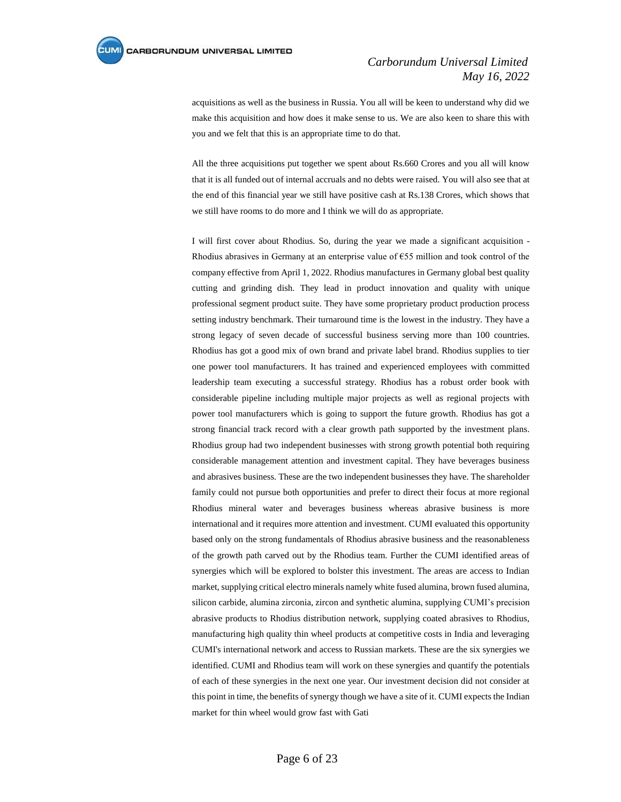acquisitions as well as the business in Russia. You all will be keen to understand why did we make this acquisition and how does it make sense to us. We are also keen to share this with you and we felt that this is an appropriate time to do that.

All the three acquisitions put together we spent about Rs.660 Crores and you all will know that it is all funded out of internal accruals and no debts were raised. You will also see that at the end of this financial year we still have positive cash at Rs.138 Crores, which shows that we still have rooms to do more and I think we will do as appropriate.

I will first cover about Rhodius. So, during the year we made a significant acquisition - Rhodius abrasives in Germany at an enterprise value of €55 million and took control of the company effective from April 1, 2022. Rhodius manufactures in Germany global best quality cutting and grinding dish. They lead in product innovation and quality with unique professional segment product suite. They have some proprietary product production process setting industry benchmark. Their turnaround time is the lowest in the industry. They have a strong legacy of seven decade of successful business serving more than 100 countries. Rhodius has got a good mix of own brand and private label brand. Rhodius supplies to tier one power tool manufacturers. It has trained and experienced employees with committed leadership team executing a successful strategy. Rhodius has a robust order book with considerable pipeline including multiple major projects as well as regional projects with power tool manufacturers which is going to support the future growth. Rhodius has got a strong financial track record with a clear growth path supported by the investment plans. Rhodius group had two independent businesses with strong growth potential both requiring considerable management attention and investment capital. They have beverages business and abrasives business. These are the two independent businesses they have. The shareholder family could not pursue both opportunities and prefer to direct their focus at more regional Rhodius mineral water and beverages business whereas abrasive business is more international and it requires more attention and investment. CUMI evaluated this opportunity based only on the strong fundamentals of Rhodius abrasive business and the reasonableness of the growth path carved out by the Rhodius team. Further the CUMI identified areas of synergies which will be explored to bolster this investment. The areas are access to Indian market, supplying critical electro minerals namely white fused alumina, brown fused alumina, silicon carbide, alumina zirconia, zircon and synthetic alumina, supplying CUMI's precision abrasive products to Rhodius distribution network, supplying coated abrasives to Rhodius, manufacturing high quality thin wheel products at competitive costs in India and leveraging CUMI's international network and access to Russian markets. These are the six synergies we identified. CUMI and Rhodius team will work on these synergies and quantify the potentials of each of these synergies in the next one year. Our investment decision did not consider at this point in time, the benefits of synergy though we have a site of it. CUMI expects the Indian market for thin wheel would grow fast with Gati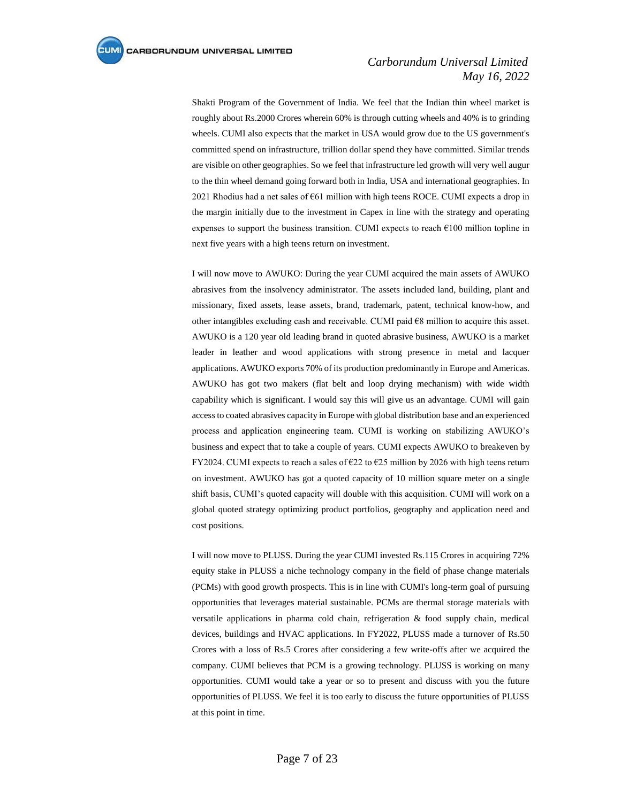Shakti Program of the Government of India. We feel that the Indian thin wheel market is roughly about Rs.2000 Crores wherein 60% is through cutting wheels and 40% is to grinding wheels. CUMI also expects that the market in USA would grow due to the US government's committed spend on infrastructure, trillion dollar spend they have committed. Similar trends are visible on other geographies. So we feel that infrastructure led growth will very well augur to the thin wheel demand going forward both in India, USA and international geographies. In 2021 Rhodius had a net sales of  $661$  million with high teens ROCE. CUMI expects a drop in the margin initially due to the investment in Capex in line with the strategy and operating expenses to support the business transition. CUMI expects to reach  $€100$  million topline in next five years with a high teens return on investment.

I will now move to AWUKO: During the year CUMI acquired the main assets of AWUKO abrasives from the insolvency administrator. The assets included land, building, plant and missionary, fixed assets, lease assets, brand, trademark, patent, technical know-how, and other intangibles excluding cash and receivable. CUMI paid €8 million to acquire this asset. AWUKO is a 120 year old leading brand in quoted abrasive business, AWUKO is a market leader in leather and wood applications with strong presence in metal and lacquer applications. AWUKO exports 70% of its production predominantly in Europe and Americas. AWUKO has got two makers (flat belt and loop drying mechanism) with wide width capability which is significant. I would say this will give us an advantage. CUMI will gain access to coated abrasives capacity in Europe with global distribution base and an experienced process and application engineering team. CUMI is working on stabilizing AWUKO's business and expect that to take a couple of years. CUMI expects AWUKO to breakeven by FY2024. CUMI expects to reach a sales of  $\epsilon$ 22 to  $\epsilon$ 25 million by 2026 with high teens return on investment. AWUKO has got a quoted capacity of 10 million square meter on a single shift basis, CUMI's quoted capacity will double with this acquisition. CUMI will work on a global quoted strategy optimizing product portfolios, geography and application need and cost positions.

I will now move to PLUSS. During the year CUMI invested Rs.115 Crores in acquiring 72% equity stake in PLUSS a niche technology company in the field of phase change materials (PCMs) with good growth prospects. This is in line with CUMI's long-term goal of pursuing opportunities that leverages material sustainable. PCMs are thermal storage materials with versatile applications in pharma cold chain, refrigeration & food supply chain, medical devices, buildings and HVAC applications. In FY2022, PLUSS made a turnover of Rs.50 Crores with a loss of Rs.5 Crores after considering a few write-offs after we acquired the company. CUMI believes that PCM is a growing technology. PLUSS is working on many opportunities. CUMI would take a year or so to present and discuss with you the future opportunities of PLUSS. We feel it is too early to discuss the future opportunities of PLUSS at this point in time.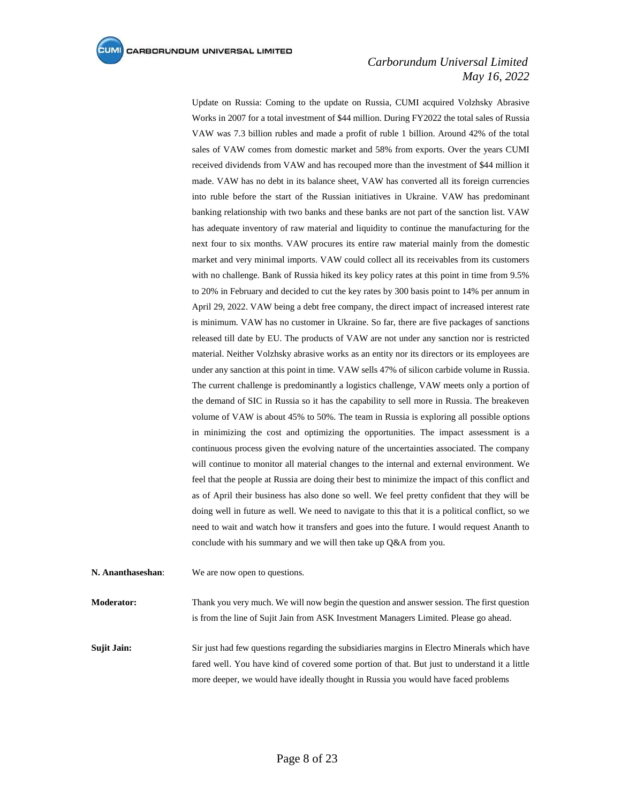Update on Russia: Coming to the update on Russia, CUMI acquired Volzhsky Abrasive Works in 2007 for a total investment of \$44 million. During FY2022 the total sales of Russia VAW was 7.3 billion rubles and made a profit of ruble 1 billion. Around 42% of the total sales of VAW comes from domestic market and 58% from exports. Over the years CUMI received dividends from VAW and has recouped more than the investment of \$44 million it made. VAW has no debt in its balance sheet, VAW has converted all its foreign currencies into ruble before the start of the Russian initiatives in Ukraine. VAW has predominant banking relationship with two banks and these banks are not part of the sanction list. VAW has adequate inventory of raw material and liquidity to continue the manufacturing for the next four to six months. VAW procures its entire raw material mainly from the domestic market and very minimal imports. VAW could collect all its receivables from its customers with no challenge. Bank of Russia hiked its key policy rates at this point in time from 9.5% to 20% in February and decided to cut the key rates by 300 basis point to 14% per annum in April 29, 2022. VAW being a debt free company, the direct impact of increased interest rate is minimum. VAW has no customer in Ukraine. So far, there are five packages of sanctions released till date by EU. The products of VAW are not under any sanction nor is restricted material. Neither Volzhsky abrasive works as an entity nor its directors or its employees are under any sanction at this point in time. VAW sells 47% of silicon carbide volume in Russia. The current challenge is predominantly a logistics challenge, VAW meets only a portion of the demand of SIC in Russia so it has the capability to sell more in Russia. The breakeven volume of VAW is about 45% to 50%. The team in Russia is exploring all possible options in minimizing the cost and optimizing the opportunities. The impact assessment is a continuous process given the evolving nature of the uncertainties associated. The company will continue to monitor all material changes to the internal and external environment. We feel that the people at Russia are doing their best to minimize the impact of this conflict and as of April their business has also done so well. We feel pretty confident that they will be doing well in future as well. We need to navigate to this that it is a political conflict, so we need to wait and watch how it transfers and goes into the future. I would request Ananth to conclude with his summary and we will then take up Q&A from you.

**N. Ananthaseshan**: We are now open to questions.

**Moderator:** Thank you very much. We will now begin the question and answer session. The first question is from the line of Sujit Jain from ASK Investment Managers Limited. Please go ahead.

**Sujit Jain:** Sir just had few questions regarding the subsidiaries margins in Electro Minerals which have fared well. You have kind of covered some portion of that. But just to understand it a little more deeper, we would have ideally thought in Russia you would have faced problems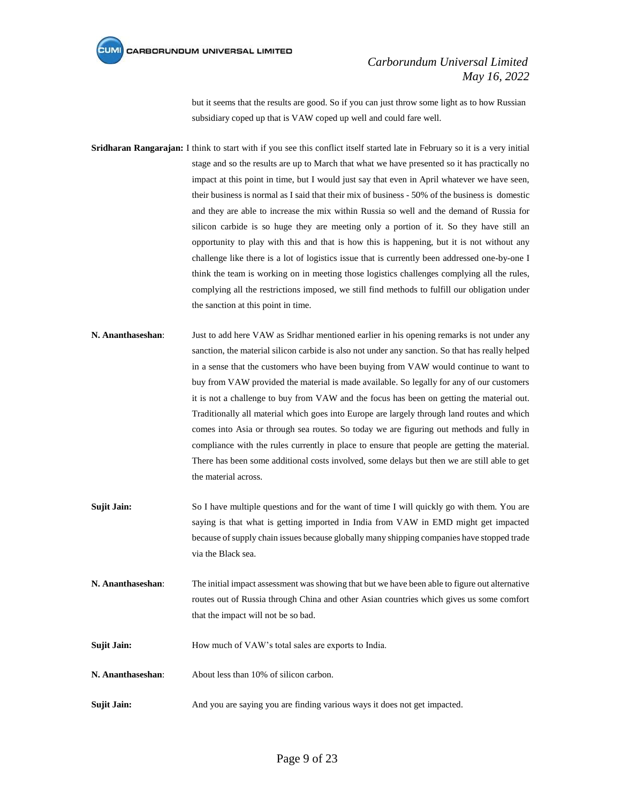

but it seems that the results are good. So if you can just throw some light as to how Russian subsidiary coped up that is VAW coped up well and could fare well.

- **Sridharan Rangarajan:** I think to start with if you see this conflict itself started late in February so it is a very initial stage and so the results are up to March that what we have presented so it has practically no impact at this point in time, but I would just say that even in April whatever we have seen, their business is normal as I said that their mix of business - 50% of the business is domestic and they are able to increase the mix within Russia so well and the demand of Russia for silicon carbide is so huge they are meeting only a portion of it. So they have still an opportunity to play with this and that is how this is happening, but it is not without any challenge like there is a lot of logistics issue that is currently been addressed one-by-one I think the team is working on in meeting those logistics challenges complying all the rules, complying all the restrictions imposed, we still find methods to fulfill our obligation under the sanction at this point in time.
- **N. Ananthaseshan**: Just to add here VAW as Sridhar mentioned earlier in his opening remarks is not under any sanction, the material silicon carbide is also not under any sanction. So that has really helped in a sense that the customers who have been buying from VAW would continue to want to buy from VAW provided the material is made available. So legally for any of our customers it is not a challenge to buy from VAW and the focus has been on getting the material out. Traditionally all material which goes into Europe are largely through land routes and which comes into Asia or through sea routes. So today we are figuring out methods and fully in compliance with the rules currently in place to ensure that people are getting the material. There has been some additional costs involved, some delays but then we are still able to get the material across.
- **Sujit Jain:** So I have multiple questions and for the want of time I will quickly go with them. You are saying is that what is getting imported in India from VAW in EMD might get impacted because of supply chain issues because globally many shipping companies have stopped trade via the Black sea.
- **N. Ananthaseshan**: The initial impact assessment was showing that but we have been able to figure out alternative routes out of Russia through China and other Asian countries which gives us some comfort that the impact will not be so bad.
- **Sujit Jain:** How much of VAW's total sales are exports to India.
- **N. Ananthaseshan**: About less than 10% of silicon carbon.
- **Sujit Jain:** And you are saying you are finding various ways it does not get impacted.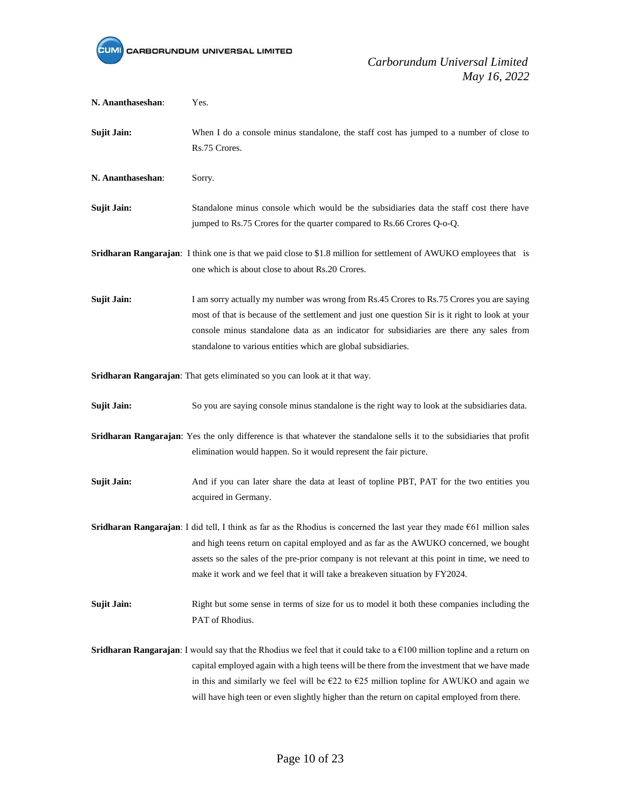

| N. Ananthaseshan:                                                          | Yes.                                                                                                                                                                                                                                                                                                                                                                                                                                    |  |
|----------------------------------------------------------------------------|-----------------------------------------------------------------------------------------------------------------------------------------------------------------------------------------------------------------------------------------------------------------------------------------------------------------------------------------------------------------------------------------------------------------------------------------|--|
| <b>Sujit Jain:</b>                                                         | When I do a console minus standalone, the staff cost has jumped to a number of close to<br>Rs.75 Crores.                                                                                                                                                                                                                                                                                                                                |  |
| N. Ananthaseshan:                                                          | Sorry.                                                                                                                                                                                                                                                                                                                                                                                                                                  |  |
| <b>Sujit Jain:</b>                                                         | Standalone minus console which would be the subsidiaries data the staff cost there have<br>jumped to Rs.75 Crores for the quarter compared to Rs.66 Crores Q-o-Q.                                                                                                                                                                                                                                                                       |  |
|                                                                            | Sridharan Rangarajan: I think one is that we paid close to \$1.8 million for settlement of AWUKO employees that is<br>one which is about close to about Rs.20 Crores.                                                                                                                                                                                                                                                                   |  |
| <b>Sujit Jain:</b>                                                         | I am sorry actually my number was wrong from Rs.45 Crores to Rs.75 Crores you are saying<br>most of that is because of the settlement and just one question Sir is it right to look at your<br>console minus standalone data as an indicator for subsidiaries are there any sales from<br>standalone to various entities which are global subsidiaries.                                                                                 |  |
| Sridharan Rangarajan: That gets eliminated so you can look at it that way. |                                                                                                                                                                                                                                                                                                                                                                                                                                         |  |
| <b>Sujit Jain:</b>                                                         | So you are saying console minus standalone is the right way to look at the subsidiaries data.                                                                                                                                                                                                                                                                                                                                           |  |
|                                                                            | Sridharan Rangarajan: Yes the only difference is that whatever the standalone sells it to the subsidiaries that profit<br>elimination would happen. So it would represent the fair picture.                                                                                                                                                                                                                                             |  |
| <b>Sujit Jain:</b>                                                         | And if you can later share the data at least of topline PBT, PAT for the two entities you<br>acquired in Germany.                                                                                                                                                                                                                                                                                                                       |  |
|                                                                            | Sridharan Rangarajan: I did tell, I think as far as the Rhodius is concerned the last year they made €61 million sales<br>and high teens return on capital employed and as far as the AWUKO concerned, we bought<br>assets so the sales of the pre-prior company is not relevant at this point in time, we need to<br>make it work and we feel that it will take a breakeven situation by FY2024.                                       |  |
| <b>Sujit Jain:</b>                                                         | Right but some sense in terms of size for us to model it both these companies including the<br>PAT of Rhodius.                                                                                                                                                                                                                                                                                                                          |  |
|                                                                            | <b>Sridharan Rangarajan</b> : I would say that the Rhodius we feel that it could take to a $\epsilon$ 100 million topline and a return on<br>capital employed again with a high teens will be there from the investment that we have made<br>in this and similarly we feel will be $E22$ to $E25$ million topline for AWUKO and again we<br>will have high teen or even slightly higher than the return on capital employed from there. |  |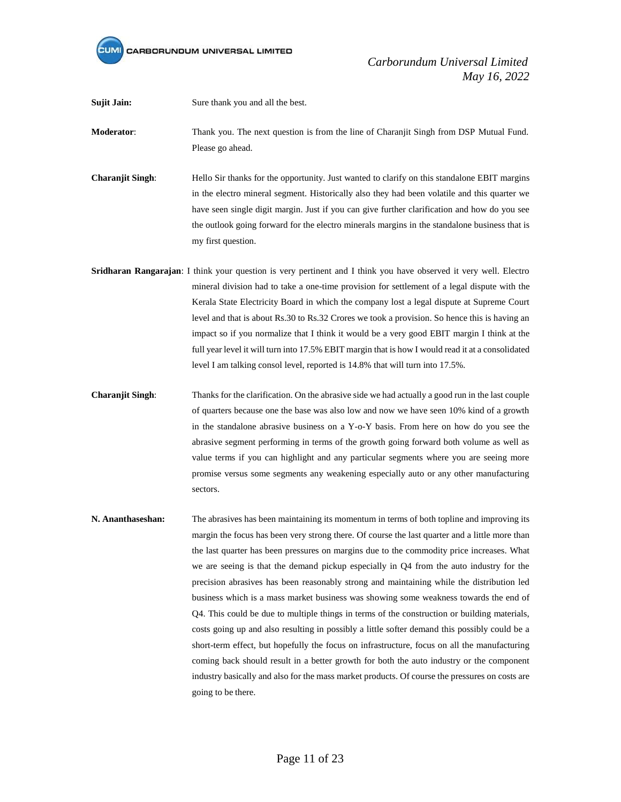

**Sujit Jain:** Sure thank you and all the best.

**Moderator**: Thank you. The next question is from the line of Charanjit Singh from DSP Mutual Fund. Please go ahead.

- **Charanjit Singh:** Hello Sir thanks for the opportunity. Just wanted to clarify on this standalone EBIT margins in the electro mineral segment. Historically also they had been volatile and this quarter we have seen single digit margin. Just if you can give further clarification and how do you see the outlook going forward for the electro minerals margins in the standalone business that is my first question.
- **Sridharan Rangarajan**: I think your question is very pertinent and I think you have observed it very well. Electro mineral division had to take a one-time provision for settlement of a legal dispute with the Kerala State Electricity Board in which the company lost a legal dispute at Supreme Court level and that is about Rs.30 to Rs.32 Crores we took a provision. So hence this is having an impact so if you normalize that I think it would be a very good EBIT margin I think at the full year level it will turn into 17.5% EBIT margin that is how I would read it at a consolidated level I am talking consol level, reported is 14.8% that will turn into 17.5%.
- **Charanjit Singh**: Thanks for the clarification. On the abrasive side we had actually a good run in the last couple of quarters because one the base was also low and now we have seen 10% kind of a growth in the standalone abrasive business on a Y-o-Y basis. From here on how do you see the abrasive segment performing in terms of the growth going forward both volume as well as value terms if you can highlight and any particular segments where you are seeing more promise versus some segments any weakening especially auto or any other manufacturing sectors.
- **N. Ananthaseshan:** The abrasives has been maintaining its momentum in terms of both topline and improving its margin the focus has been very strong there. Of course the last quarter and a little more than the last quarter has been pressures on margins due to the commodity price increases. What we are seeing is that the demand pickup especially in Q4 from the auto industry for the precision abrasives has been reasonably strong and maintaining while the distribution led business which is a mass market business was showing some weakness towards the end of Q4. This could be due to multiple things in terms of the construction or building materials, costs going up and also resulting in possibly a little softer demand this possibly could be a short-term effect, but hopefully the focus on infrastructure, focus on all the manufacturing coming back should result in a better growth for both the auto industry or the component industry basically and also for the mass market products. Of course the pressures on costs are going to be there.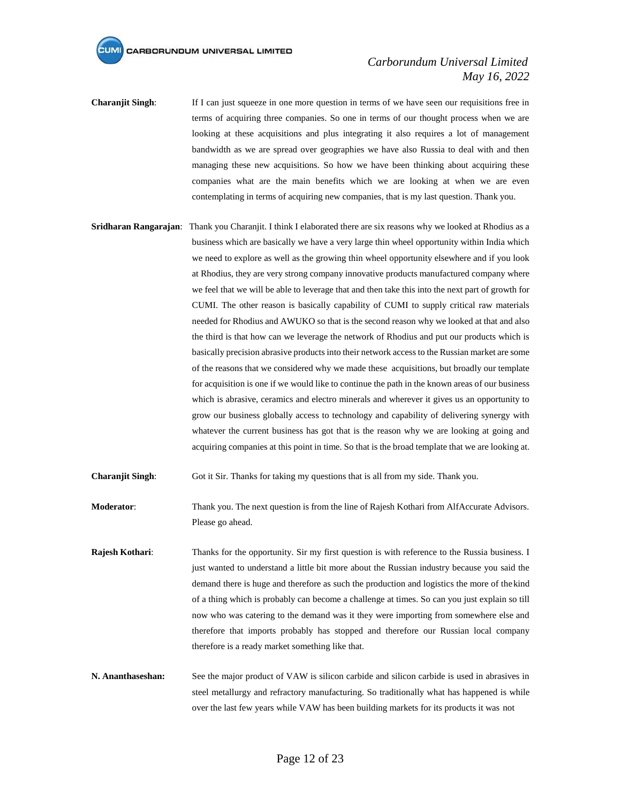## *Carborundum Universal Limited May 16, 2022*

- **Charanjit Singh**: If I can just squeeze in one more question in terms of we have seen our requisitions free in terms of acquiring three companies. So one in terms of our thought process when we are looking at these acquisitions and plus integrating it also requires a lot of management bandwidth as we are spread over geographies we have also Russia to deal with and then managing these new acquisitions. So how we have been thinking about acquiring these companies what are the main benefits which we are looking at when we are even contemplating in terms of acquiring new companies, that is my last question. Thank you.
- **Sridharan Rangarajan**: Thank you Charanjit. I think I elaborated there are six reasons why we looked at Rhodius as a business which are basically we have a very large thin wheel opportunity within India which we need to explore as well as the growing thin wheel opportunity elsewhere and if you look at Rhodius, they are very strong company innovative products manufactured company where we feel that we will be able to leverage that and then take this into the next part of growth for CUMI. The other reason is basically capability of CUMI to supply critical raw materials needed for Rhodius and AWUKO so that is the second reason why we looked at that and also the third is that how can we leverage the network of Rhodius and put our products which is basically precision abrasive products into their network access to the Russian market are some of the reasons that we considered why we made these acquisitions, but broadly our template for acquisition is one if we would like to continue the path in the known areas of our business which is abrasive, ceramics and electro minerals and wherever it gives us an opportunity to grow our business globally access to technology and capability of delivering synergy with whatever the current business has got that is the reason why we are looking at going and acquiring companies at this point in time. So that is the broad template that we are looking at.
- **Charanjit Singh**: Got it Sir. Thanks for taking my questions that is all from my side. Thank you.

**Moderator:** Thank you. The next question is from the line of Rajesh Kothari from AlfAccurate Advisors. Please go ahead.

- **Rajesh Kothari**: Thanks for the opportunity. Sir my first question is with reference to the Russia business. I just wanted to understand a little bit more about the Russian industry because you said the demand there is huge and therefore as such the production and logistics the more of thekind of a thing which is probably can become a challenge at times. So can you just explain so till now who was catering to the demand was it they were importing from somewhere else and therefore that imports probably has stopped and therefore our Russian local company therefore is a ready market something like that.
- **N. Ananthaseshan:** See the major product of VAW is silicon carbide and silicon carbide is used in abrasives in steel metallurgy and refractory manufacturing. So traditionally what has happened is while over the last few years while VAW has been building markets for its products it was not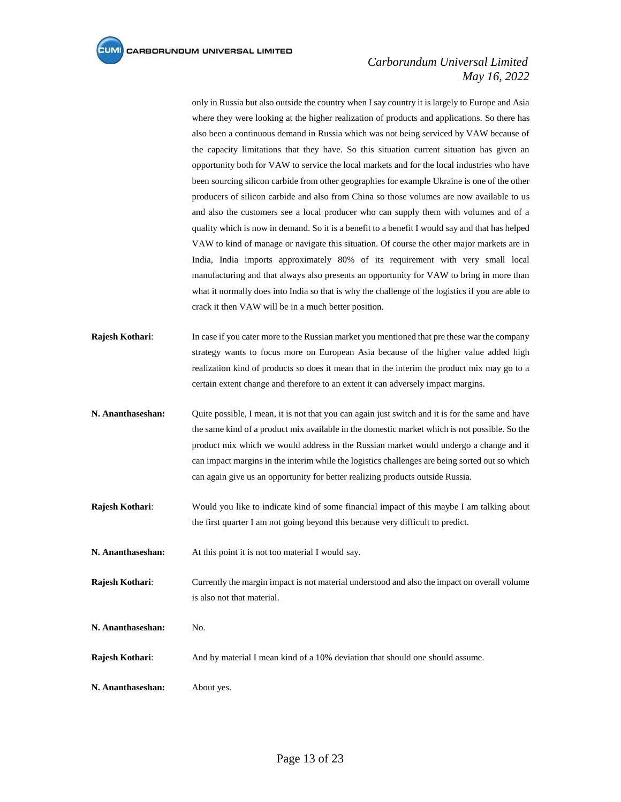only in Russia but also outside the country when I say country it is largely to Europe and Asia where they were looking at the higher realization of products and applications. So there has also been a continuous demand in Russia which was not being serviced by VAW because of the capacity limitations that they have. So this situation current situation has given an opportunity both for VAW to service the local markets and for the local industries who have been sourcing silicon carbide from other geographies for example Ukraine is one of the other producers of silicon carbide and also from China so those volumes are now available to us and also the customers see a local producer who can supply them with volumes and of a quality which is now in demand. So it is a benefit to a benefit I would say and that has helped VAW to kind of manage or navigate this situation. Of course the other major markets are in India, India imports approximately 80% of its requirement with very small local manufacturing and that always also presents an opportunity for VAW to bring in more than what it normally does into India so that is why the challenge of the logistics if you are able to crack it then VAW will be in a much better position.

- **Rajesh Kothari**: In case if you cater more to the Russian market you mentioned that pre these war the company strategy wants to focus more on European Asia because of the higher value added high realization kind of products so does it mean that in the interim the product mix may go to a certain extent change and therefore to an extent it can adversely impact margins.
- **N. Ananthaseshan:** Quite possible, I mean, it is not that you can again just switch and it is for the same and have the same kind of a product mix available in the domestic market which is not possible. So the product mix which we would address in the Russian market would undergo a change and it can impact margins in the interim while the logistics challenges are being sorted out so which can again give us an opportunity for better realizing products outside Russia.
- **Rajesh Kothari**: Would you like to indicate kind of some financial impact of this maybe I am talking about the first quarter I am not going beyond this because very difficult to predict.

**N. Ananthaseshan:** At this point it is not too material I would say.

- **Rajesh Kothari**: Currently the margin impact is not material understood and also the impact on overall volume is also not that material.
- **N. Ananthaseshan:** No.
- **Rajesh Kothari**: And by material I mean kind of a 10% deviation that should one should assume.
- **N. Ananthaseshan:** About yes.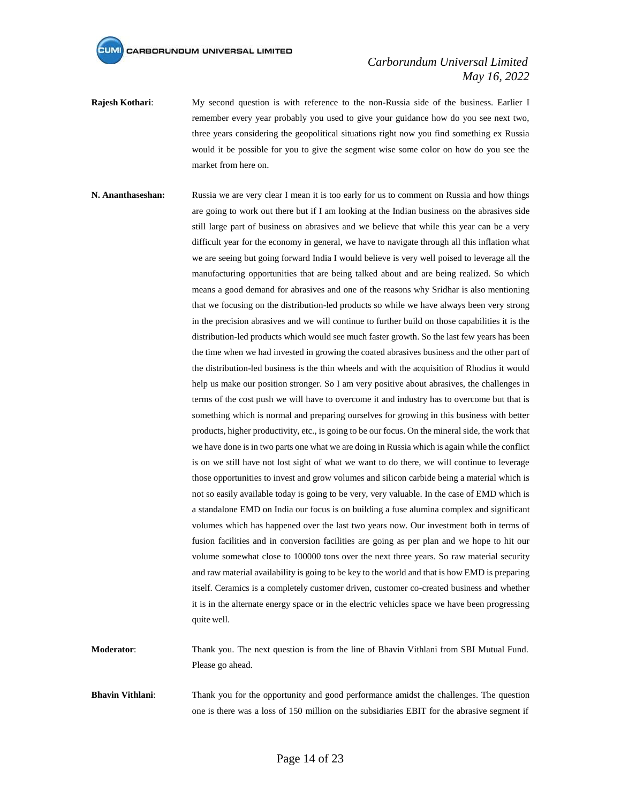## *Carborundum Universal Limited May 16, 2022*

- **Rajesh Kothari**: My second question is with reference to the non-Russia side of the business. Earlier I remember every year probably you used to give your guidance how do you see next two, three years considering the geopolitical situations right now you find something ex Russia would it be possible for you to give the segment wise some color on how do you see the market from here on.
- **N. Ananthaseshan:** Russia we are very clear I mean it is too early for us to comment on Russia and how things are going to work out there but if I am looking at the Indian business on the abrasives side still large part of business on abrasives and we believe that while this year can be a very difficult year for the economy in general, we have to navigate through all this inflation what we are seeing but going forward India I would believe is very well poised to leverage all the manufacturing opportunities that are being talked about and are being realized. So which means a good demand for abrasives and one of the reasons why Sridhar is also mentioning that we focusing on the distribution-led products so while we have always been very strong in the precision abrasives and we will continue to further build on those capabilities it is the distribution-led products which would see much faster growth. So the last few years has been the time when we had invested in growing the coated abrasives business and the other part of the distribution-led business is the thin wheels and with the acquisition of Rhodius it would help us make our position stronger. So I am very positive about abrasives, the challenges in terms of the cost push we will have to overcome it and industry has to overcome but that is something which is normal and preparing ourselves for growing in this business with better products, higher productivity, etc., is going to be our focus. On the mineral side, the work that we have done is in two parts one what we are doing in Russia which is again while the conflict is on we still have not lost sight of what we want to do there, we will continue to leverage those opportunities to invest and grow volumes and silicon carbide being a material which is not so easily available today is going to be very, very valuable. In the case of EMD which is a standalone EMD on India our focus is on building a fuse alumina complex and significant volumes which has happened over the last two years now. Our investment both in terms of fusion facilities and in conversion facilities are going as per plan and we hope to hit our volume somewhat close to 100000 tons over the next three years. So raw material security and raw material availability is going to be key to the world and that is how EMD is preparing itself. Ceramics is a completely customer driven, customer co-created business and whether it is in the alternate energy space or in the electric vehicles space we have been progressing quite well.

**Moderator**: Thank you. The next question is from the line of Bhavin Vithlani from SBI Mutual Fund. Please go ahead.

**Bhavin Vithlani:** Thank you for the opportunity and good performance amidst the challenges. The question one is there was a loss of 150 million on the subsidiaries EBIT for the abrasive segment if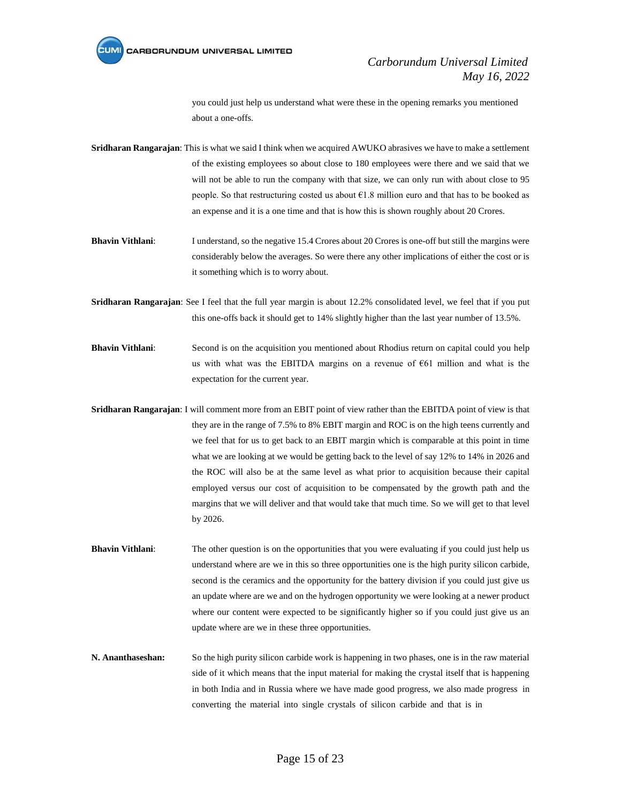

you could just help us understand what were these in the opening remarks you mentioned about a one-offs.

**Sridharan Rangarajan**: This is what we said I think when we acquired AWUKO abrasives we have to make a settlement of the existing employees so about close to 180 employees were there and we said that we will not be able to run the company with that size, we can only run with about close to 95 people. So that restructuring costed us about €1.8 million euro and that has to be booked as an expense and it is a one time and that is how this is shown roughly about 20 Crores.

**Bhavin Vithlani:** I understand, so the negative 15.4 Crores about 20 Crores is one-off but still the margins were considerably below the averages. So were there any other implications of either the cost or is it something which is to worry about.

**Sridharan Rangarajan**: See I feel that the full year margin is about 12.2% consolidated level, we feel that if you put this one-offs back it should get to 14% slightly higher than the last year number of 13.5%.

**Bhavin Vithlani:** Second is on the acquisition you mentioned about Rhodius return on capital could you help us with what was the EBITDA margins on a revenue of €61 million and what is the expectation for the current year.

**Sridharan Rangarajan**: I will comment more from an EBIT point of view rather than the EBITDA point of view is that they are in the range of 7.5% to 8% EBIT margin and ROC is on the high teens currently and we feel that for us to get back to an EBIT margin which is comparable at this point in time what we are looking at we would be getting back to the level of say 12% to 14% in 2026 and the ROC will also be at the same level as what prior to acquisition because their capital employed versus our cost of acquisition to be compensated by the growth path and the margins that we will deliver and that would take that much time. So we will get to that level by 2026.

**Bhavin Vithlani:** The other question is on the opportunities that you were evaluating if you could just help us understand where are we in this so three opportunities one is the high purity silicon carbide, second is the ceramics and the opportunity for the battery division if you could just give us an update where are we and on the hydrogen opportunity we were looking at a newer product where our content were expected to be significantly higher so if you could just give us an update where are we in these three opportunities.

**N. Ananthaseshan:** So the high purity silicon carbide work is happening in two phases, one is in the raw material side of it which means that the input material for making the crystal itself that is happening in both India and in Russia where we have made good progress, we also made progress in converting the material into single crystals of silicon carbide and that is in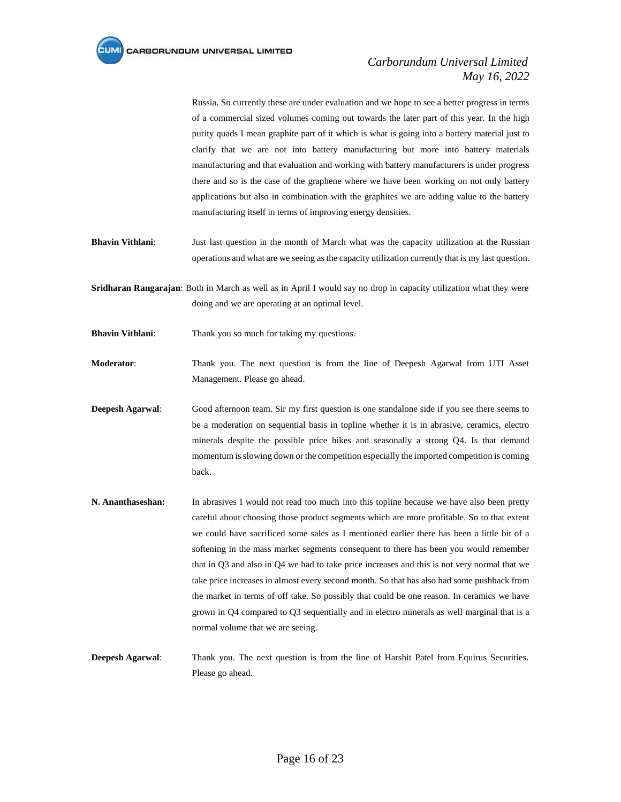Russia. So currently these are under evaluation and we hope to see a better progress in terms of a commercial sized volumes coming out towards the later part of this year. In the high purity quads I mean graphite part of it which is what is going into a battery material just to clarify that we are not into battery manufacturing but more into battery materials manufacturing and that evaluation and working with battery manufacturers is under progress there and so is the case of the graphene where we have been working on not only battery applications but also in combination with the graphites we are adding value to the battery manufacturing itself in terms of improving energy densities.

- **Bhavin Vithlani**: Just last question in the month of March what was the capacity utilization at the Russian operations and what are we seeing as the capacity utilization currently that is my last question.
- **Sridharan Rangarajan**: Both in March as well as in April I would say no drop in capacity utilization what they were doing and we are operating at an optimal level.
- **Bhavin Vithlani**: Thank you so much for taking my questions.
- **Moderator**: Thank you. The next question is from the line of Deepesh Agarwal from UTI Asset Management. Please go ahead.
- **Deepesh Agarwal**: Good afternoon team. Sir my first question is one standalone side if you see there seems to be a moderation on sequential basis in topline whether it is in abrasive, ceramics, electro minerals despite the possible price hikes and seasonally a strong Q4. Is that demand momentum is slowing down or the competition especially the imported competition is coming back.
- **N. Ananthaseshan:** In abrasives I would not read too much into this topline because we have also been pretty careful about choosing those product segments which are more profitable. So to that extent we could have sacrificed some sales as I mentioned earlier there has been a little bit of a softening in the mass market segments consequent to there has been you would remember that in Q3 and also in Q4 we had to take price increases and this is not very normal that we take price increases in almost every second month. So that has also had some pushback from the market in terms of off take. So possibly that could be one reason. In ceramics we have grown in Q4 compared to Q3 sequentially and in electro minerals as well marginal that is a normal volume that we are seeing.
- **Deepesh Agarwal**: Thank you. The next question is from the line of Harshit Patel from Equirus Securities. Please go ahead.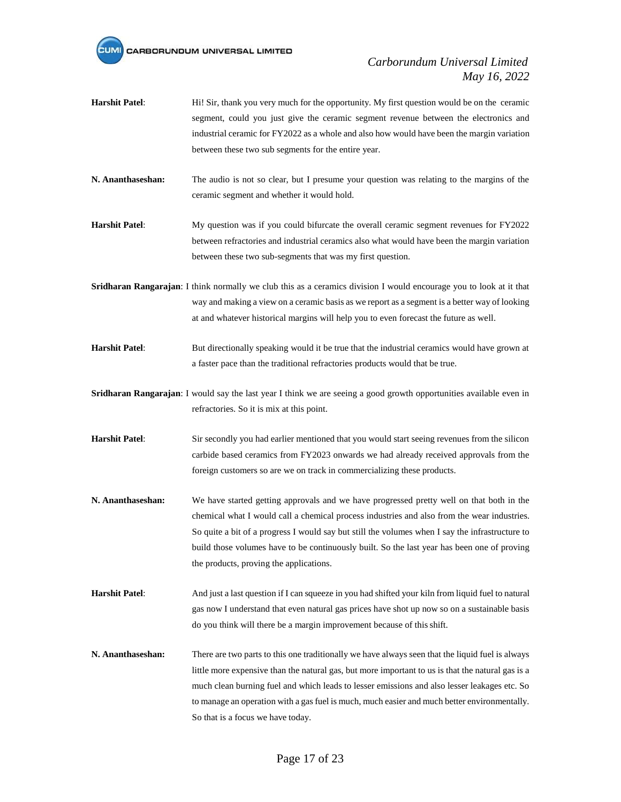

- **Harshit Patel**: Hi! Sir, thank you very much for the opportunity. My first question would be on the ceramic segment, could you just give the ceramic segment revenue between the electronics and industrial ceramic for FY2022 as a whole and also how would have been the margin variation between these two sub segments for the entire year.
- **N. Ananthaseshan:** The audio is not so clear, but I presume your question was relating to the margins of the ceramic segment and whether it would hold.
- **Harshit Patel**: My question was if you could bifurcate the overall ceramic segment revenues for FY2022 between refractories and industrial ceramics also what would have been the margin variation between these two sub-segments that was my first question.
- **Sridharan Rangarajan**: I think normally we club this as a ceramics division I would encourage you to look at it that way and making a view on a ceramic basis as we report as a segment is a better way of looking at and whatever historical margins will help you to even forecast the future as well.
- **Harshit Patel**: But directionally speaking would it be true that the industrial ceramics would have grown at a faster pace than the traditional refractories products would that be true.
- **Sridharan Rangarajan**: I would say the last year I think we are seeing a good growth opportunities available even in refractories. So it is mix at this point.
- **Harshit Patel**: Sir secondly you had earlier mentioned that you would start seeing revenues from the silicon carbide based ceramics from FY2023 onwards we had already received approvals from the foreign customers so are we on track in commercializing these products.
- **N. Ananthaseshan:** We have started getting approvals and we have progressed pretty well on that both in the chemical what I would call a chemical process industries and also from the wear industries. So quite a bit of a progress I would say but still the volumes when I say the infrastructure to build those volumes have to be continuously built. So the last year has been one of proving the products, proving the applications.
- **Harshit Patel**: And just a last question if I can squeeze in you had shifted your kiln from liquid fuel to natural gas now I understand that even natural gas prices have shot up now so on a sustainable basis do you think will there be a margin improvement because of thisshift.
- **N. Ananthaseshan:** There are two parts to this one traditionally we have always seen that the liquid fuel is always little more expensive than the natural gas, but more important to us is that the natural gas is a much clean burning fuel and which leads to lesser emissions and also lesser leakages etc. So to manage an operation with a gas fuel is much, much easier and much better environmentally. So that is a focus we have today.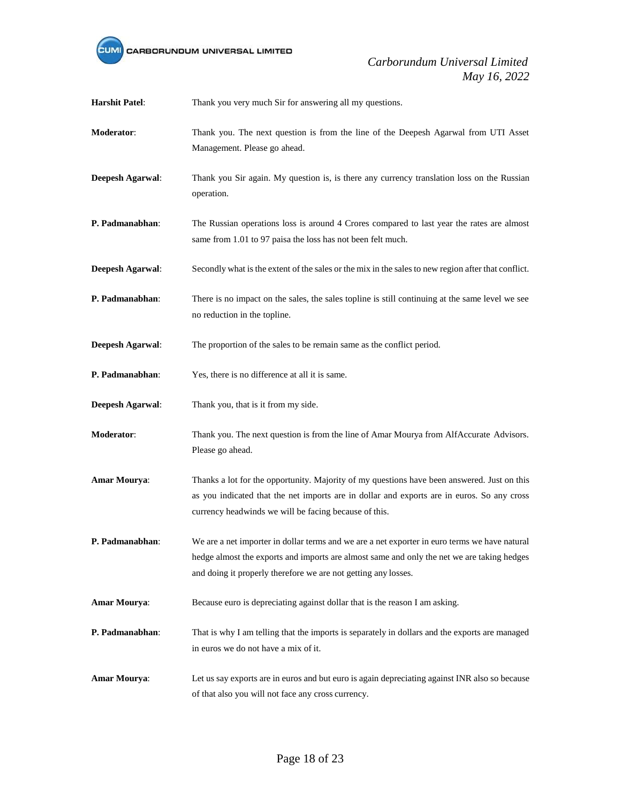

| <b>Harshit Patel:</b>   | Thank you very much Sir for answering all my questions.                                                                                                                                                                                                       |
|-------------------------|---------------------------------------------------------------------------------------------------------------------------------------------------------------------------------------------------------------------------------------------------------------|
| Moderator:              | Thank you. The next question is from the line of the Deepesh Agarwal from UTI Asset<br>Management. Please go ahead.                                                                                                                                           |
| <b>Deepesh Agarwal:</b> | Thank you Sir again. My question is, is there any currency translation loss on the Russian<br>operation.                                                                                                                                                      |
| P. Padmanabhan:         | The Russian operations loss is around 4 Crores compared to last year the rates are almost<br>same from 1.01 to 97 paisa the loss has not been felt much.                                                                                                      |
| Deepesh Agarwal:        | Secondly what is the extent of the sales or the mix in the sales to new region after that conflict.                                                                                                                                                           |
| P. Padmanabhan:         | There is no impact on the sales, the sales topline is still continuing at the same level we see<br>no reduction in the topline.                                                                                                                               |
| Deepesh Agarwal:        | The proportion of the sales to be remain same as the conflict period.                                                                                                                                                                                         |
| P. Padmanabhan:         | Yes, there is no difference at all it is same.                                                                                                                                                                                                                |
| Deepesh Agarwal:        | Thank you, that is it from my side.                                                                                                                                                                                                                           |
| Moderator:              | Thank you. The next question is from the line of Amar Mourya from AlfAccurate Advisors.<br>Please go ahead.                                                                                                                                                   |
| Amar Mourya:            | Thanks a lot for the opportunity. Majority of my questions have been answered. Just on this<br>as you indicated that the net imports are in dollar and exports are in euros. So any cross<br>currency headwinds we will be facing because of this.            |
| P. Padmanabhan:         | We are a net importer in dollar terms and we are a net exporter in euro terms we have natural<br>hedge almost the exports and imports are almost same and only the net we are taking hedges<br>and doing it properly therefore we are not getting any losses. |
| Amar Mourya:            | Because euro is depreciating against dollar that is the reason I am asking.                                                                                                                                                                                   |
| P. Padmanabhan:         | That is why I am telling that the imports is separately in dollars and the exports are managed<br>in euros we do not have a mix of it.                                                                                                                        |
| <b>Amar Mourya:</b>     | Let us say exports are in euros and but euro is again depreciating against INR also so because<br>of that also you will not face any cross currency.                                                                                                          |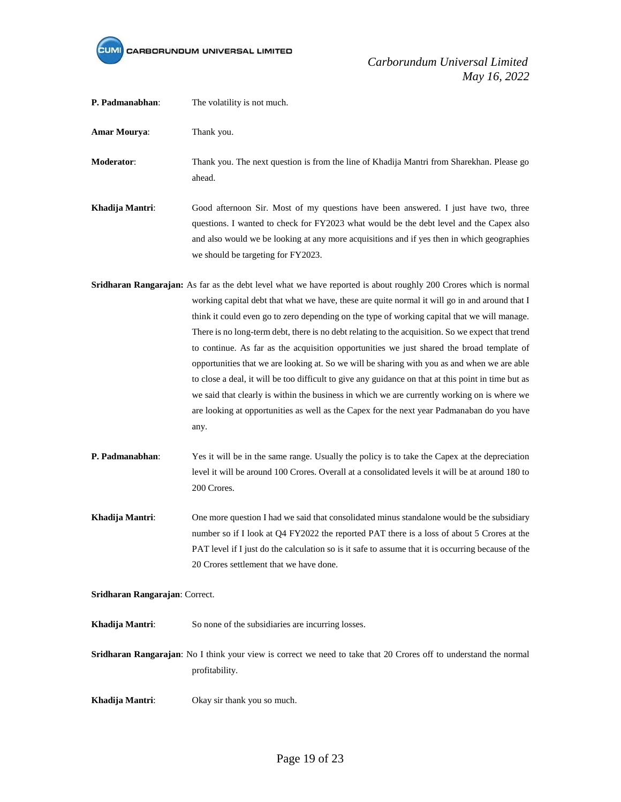

| P. Padmanabhan:                | The volatility is not much.                                                                                                                                                                                                                                                                                                                                                                                                                                                                                                                                                                                                                                                                                                                                                                                                                                                                                                       |
|--------------------------------|-----------------------------------------------------------------------------------------------------------------------------------------------------------------------------------------------------------------------------------------------------------------------------------------------------------------------------------------------------------------------------------------------------------------------------------------------------------------------------------------------------------------------------------------------------------------------------------------------------------------------------------------------------------------------------------------------------------------------------------------------------------------------------------------------------------------------------------------------------------------------------------------------------------------------------------|
| Amar Mourya:                   | Thank you.                                                                                                                                                                                                                                                                                                                                                                                                                                                                                                                                                                                                                                                                                                                                                                                                                                                                                                                        |
| Moderator:                     | Thank you. The next question is from the line of Khadija Mantri from Sharekhan. Please go<br>ahead.                                                                                                                                                                                                                                                                                                                                                                                                                                                                                                                                                                                                                                                                                                                                                                                                                               |
| Khadija Mantri:                | Good afternoon Sir. Most of my questions have been answered. I just have two, three<br>questions. I wanted to check for FY2023 what would be the debt level and the Capex also<br>and also would we be looking at any more acquisitions and if yes then in which geographies<br>we should be targeting for FY2023.                                                                                                                                                                                                                                                                                                                                                                                                                                                                                                                                                                                                                |
|                                | Sridharan Rangarajan: As far as the debt level what we have reported is about roughly 200 Crores which is normal<br>working capital debt that what we have, these are quite normal it will go in and around that I<br>think it could even go to zero depending on the type of working capital that we will manage.<br>There is no long-term debt, there is no debt relating to the acquisition. So we expect that trend<br>to continue. As far as the acquisition opportunities we just shared the broad template of<br>opportunities that we are looking at. So we will be sharing with you as and when we are able<br>to close a deal, it will be too difficult to give any guidance on that at this point in time but as<br>we said that clearly is within the business in which we are currently working on is where we<br>are looking at opportunities as well as the Capex for the next year Padmanaban do you have<br>any. |
| P. Padmanabhan:                | Yes it will be in the same range. Usually the policy is to take the Capex at the depreciation<br>level it will be around 100 Crores. Overall at a consolidated levels it will be at around 180 to<br>200 Crores.                                                                                                                                                                                                                                                                                                                                                                                                                                                                                                                                                                                                                                                                                                                  |
| Khadija Mantri:                | One more question I had we said that consolidated minus standalone would be the subsidiary<br>number so if I look at Q4 FY2022 the reported PAT there is a loss of about 5 Crores at the<br>PAT level if I just do the calculation so is it safe to assume that it is occurring because of the<br>20 Crores settlement that we have done.                                                                                                                                                                                                                                                                                                                                                                                                                                                                                                                                                                                         |
| Sridharan Rangarajan: Correct. |                                                                                                                                                                                                                                                                                                                                                                                                                                                                                                                                                                                                                                                                                                                                                                                                                                                                                                                                   |
| Khadija Mantri:                | So none of the subsidiaries are incurring losses.                                                                                                                                                                                                                                                                                                                                                                                                                                                                                                                                                                                                                                                                                                                                                                                                                                                                                 |
|                                | Sridharan Rangarajan: No I think your view is correct we need to take that 20 Crores off to understand the normal<br>profitability.                                                                                                                                                                                                                                                                                                                                                                                                                                                                                                                                                                                                                                                                                                                                                                                               |
| Khadija Mantri:                | Okay sir thank you so much.                                                                                                                                                                                                                                                                                                                                                                                                                                                                                                                                                                                                                                                                                                                                                                                                                                                                                                       |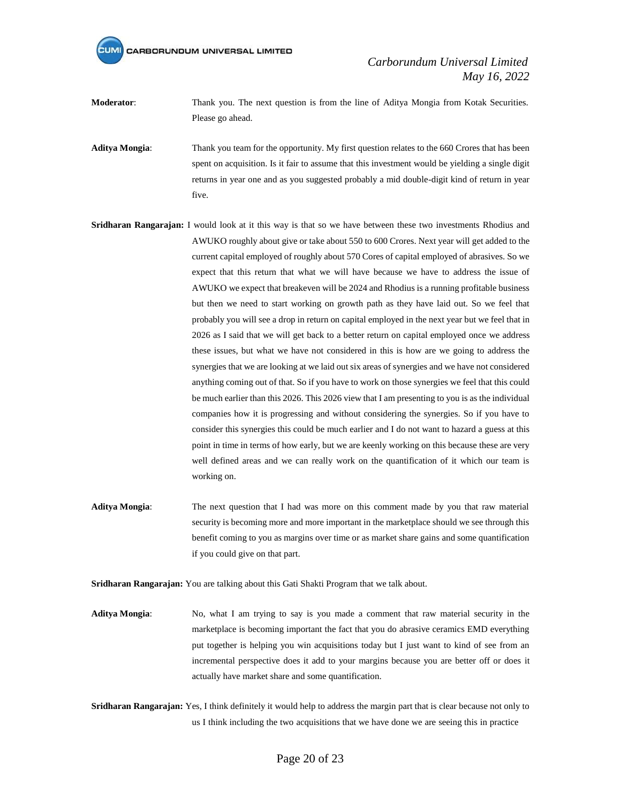*Carborundum Universal Limited May 16, 2022*

**Moderator:** Thank you. The next question is from the line of Aditya Mongia from Kotak Securities. Please go ahead.

**Aditya Mongia**: Thank you team for the opportunity. My first question relates to the 660 Crores that has been spent on acquisition. Is it fair to assume that this investment would be yielding a single digit returns in year one and as you suggested probably a mid double-digit kind of return in year five.

- **Sridharan Rangarajan:** I would look at it this way is that so we have between these two investments Rhodius and AWUKO roughly about give or take about 550 to 600 Crores. Next year will get added to the current capital employed of roughly about 570 Cores of capital employed of abrasives. So we expect that this return that what we will have because we have to address the issue of AWUKO we expect that breakeven will be 2024 and Rhodius is a running profitable business but then we need to start working on growth path as they have laid out. So we feel that probably you will see a drop in return on capital employed in the next year but we feel that in 2026 as I said that we will get back to a better return on capital employed once we address these issues, but what we have not considered in this is how are we going to address the synergies that we are looking at we laid out six areas of synergies and we have not considered anything coming out of that. So if you have to work on those synergies we feel that this could be much earlier than this 2026. This 2026 view that I am presenting to you is as the individual companies how it is progressing and without considering the synergies. So if you have to consider this synergies this could be much earlier and I do not want to hazard a guess at this point in time in terms of how early, but we are keenly working on this because these are very well defined areas and we can really work on the quantification of it which our team is working on.
- **Aditya Mongia**: The next question that I had was more on this comment made by you that raw material security is becoming more and more important in the marketplace should we see through this benefit coming to you as margins over time or as market share gains and some quantification if you could give on that part.

**Sridharan Rangarajan:** You are talking about this Gati Shakti Program that we talk about.

- **Aditya Mongia**: No, what I am trying to say is you made a comment that raw material security in the marketplace is becoming important the fact that you do abrasive ceramics EMD everything put together is helping you win acquisitions today but I just want to kind of see from an incremental perspective does it add to your margins because you are better off or does it actually have market share and some quantification.
- **Sridharan Rangarajan:** Yes, I think definitely it would help to address the margin part that is clear because not only to us I think including the two acquisitions that we have done we are seeing this in practice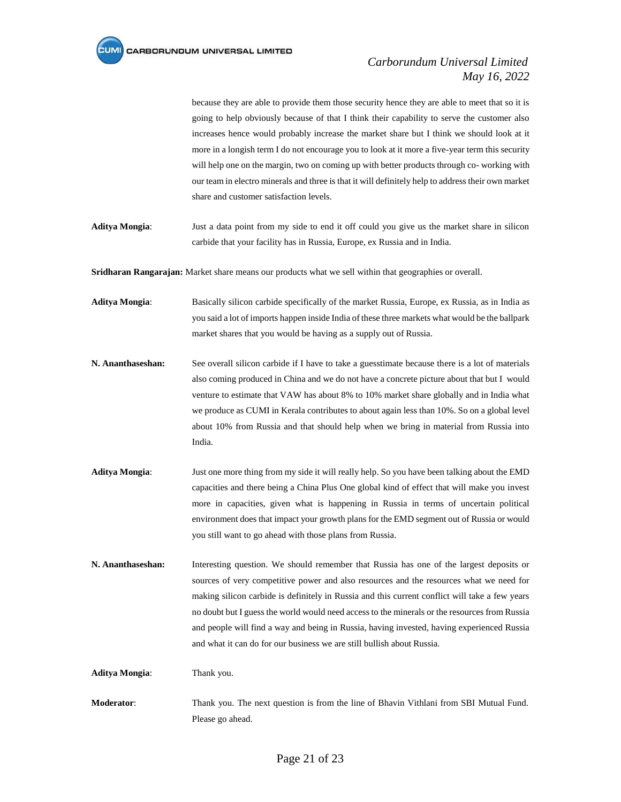because they are able to provide them those security hence they are able to meet that so it is going to help obviously because of that I think their capability to serve the customer also increases hence would probably increase the market share but I think we should look at it more in a longish term I do not encourage you to look at it more a five-year term this security will help one on the margin, two on coming up with better products through co- working with our team in electro minerals and three is that it will definitely help to address their own market share and customer satisfaction levels.

**Aditya Mongia**: Just a data point from my side to end it off could you give us the market share in silicon carbide that your facility has in Russia, Europe, ex Russia and in India.

**Sridharan Rangarajan:** Market share means our products what we sell within that geographies or overall.

**Aditya Mongia**: Basically silicon carbide specifically of the market Russia, Europe, ex Russia, as in India as you said a lot of imports happen inside India of these three markets what would be the ballpark market shares that you would be having as a supply out of Russia.

- **N. Ananthaseshan:** See overall silicon carbide if I have to take a guesstimate because there is a lot of materials also coming produced in China and we do not have a concrete picture about that but I would venture to estimate that VAW has about 8% to 10% market share globally and in India what we produce as CUMI in Kerala contributes to about again less than 10%. So on a global level about 10% from Russia and that should help when we bring in material from Russia into India.
- **Aditya Mongia**: Just one more thing from my side it will really help. So you have been talking about the EMD capacities and there being a China Plus One global kind of effect that will make you invest more in capacities, given what is happening in Russia in terms of uncertain political environment does that impact your growth plans for the EMD segment out of Russia or would you still want to go ahead with those plans from Russia.
- **N. Ananthaseshan:** Interesting question. We should remember that Russia has one of the largest deposits or sources of very competitive power and also resources and the resources what we need for making silicon carbide is definitely in Russia and this current conflict will take a few years no doubt but I guess the world would need access to the minerals or the resources from Russia and people will find a way and being in Russia, having invested, having experienced Russia and what it can do for our business we are still bullish about Russia.

**Aditya Mongia**: Thank you.

**Moderator**: Thank you. The next question is from the line of Bhavin Vithlani from SBI Mutual Fund. Please go ahead.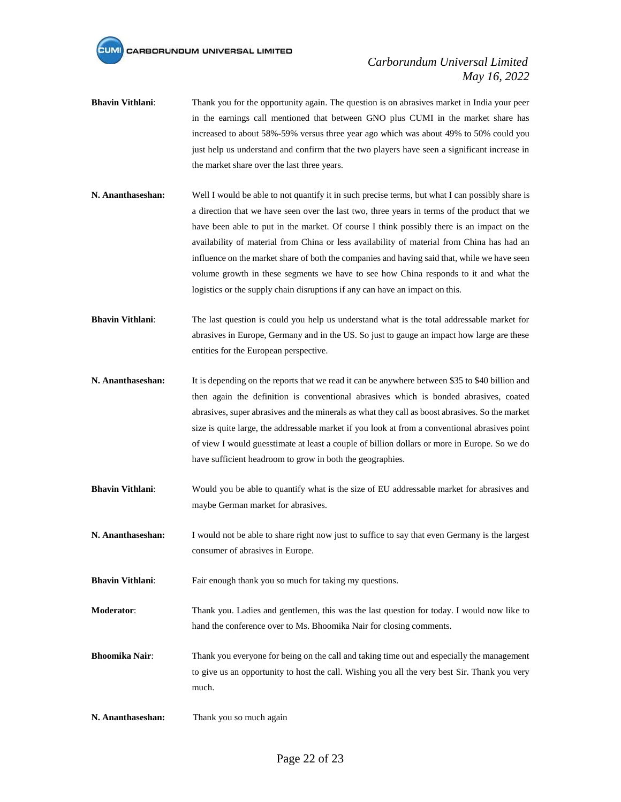- **Bhavin Vithlani**: Thank you for the opportunity again. The question is on abrasives market in India your peer in the earnings call mentioned that between GNO plus CUMI in the market share has increased to about 58%-59% versus three year ago which was about 49% to 50% could you just help us understand and confirm that the two players have seen a significant increase in the market share over the last three years.
- **N. Ananthaseshan:** Well I would be able to not quantify it in such precise terms, but what I can possibly share is a direction that we have seen over the last two, three years in terms of the product that we have been able to put in the market. Of course I think possibly there is an impact on the availability of material from China or less availability of material from China has had an influence on the market share of both the companies and having said that, while we have seen volume growth in these segments we have to see how China responds to it and what the logistics or the supply chain disruptions if any can have an impact on this.
- **Bhavin Vithlani:** The last question is could you help us understand what is the total addressable market for abrasives in Europe, Germany and in the US. So just to gauge an impact how large are these entities for the European perspective.
- **N. Ananthaseshan:** It is depending on the reports that we read it can be anywhere between \$35 to \$40 billion and then again the definition is conventional abrasives which is bonded abrasives, coated abrasives, super abrasives and the minerals as what they call as boost abrasives. So the market size is quite large, the addressable market if you look at from a conventional abrasives point of view I would guesstimate at least a couple of billion dollars or more in Europe. So we do have sufficient headroom to grow in both the geographies.
- **Bhavin Vithlani:** Would you be able to quantify what is the size of EU addressable market for abrasives and maybe German market for abrasives.
- **N. Ananthaseshan:** I would not be able to share right now just to suffice to say that even Germany is the largest consumer of abrasives in Europe.
- **Bhavin Vithlani:** Fair enough thank you so much for taking my questions.
- **Moderator**: Thank you. Ladies and gentlemen, this was the last question for today. I would now like to hand the conference over to Ms. Bhoomika Nair for closing comments.
- **Bhoomika Nair**: Thank you everyone for being on the call and taking time out and especially the management to give us an opportunity to host the call. Wishing you all the very best Sir. Thank you very much.
- **N. Ananthaseshan:** Thank you so much again